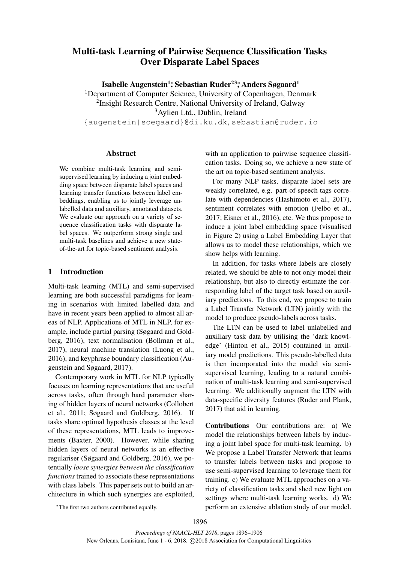# Multi-task Learning of Pairwise Sequence Classification Tasks Over Disparate Label Spaces

Isabelle Augenstein<sup>1</sup>; Sebastian Ruder<sup>23</sup>; Anders Søgaard<sup>1</sup>

<sup>1</sup>Department of Computer Science, University of Copenhagen, Denmark <sup>2</sup> Insight Research Centre, National University of Ireland, Galway <sup>3</sup>Aylien Ltd., Dublin, Ireland

{augenstein|soegaard}@di.ku.dk, sebastian@ruder.io

#### Abstract

We combine multi-task learning and semisupervised learning by inducing a joint embedding space between disparate label spaces and learning transfer functions between label embeddings, enabling us to jointly leverage unlabelled data and auxiliary, annotated datasets. We evaluate our approach on a variety of sequence classification tasks with disparate label spaces. We outperform strong single and multi-task baselines and achieve a new stateof-the-art for topic-based sentiment analysis.

## 1 Introduction

Multi-task learning (MTL) and semi-supervised learning are both successful paradigms for learning in scenarios with limited labelled data and have in recent years been applied to almost all areas of NLP. Applications of MTL in NLP, for example, include partial parsing (Søgaard and Goldberg, 2016), text normalisation (Bollman et al., 2017), neural machine translation (Luong et al., 2016), and keyphrase boundary classification (Augenstein and Søgaard, 2017).

Contemporary work in MTL for NLP typically focuses on learning representations that are useful across tasks, often through hard parameter sharing of hidden layers of neural networks (Collobert et al., 2011; Søgaard and Goldberg, 2016). If tasks share optimal hypothesis classes at the level of these representations, MTL leads to improvements (Baxter, 2000). However, while sharing hidden layers of neural networks is an effective regulariser (Søgaard and Goldberg, 2016), we potentially *loose synergies between the classification functions* trained to associate these representations with class labels. This paper sets out to build an architecture in which such synergies are exploited,

with an application to pairwise sequence classification tasks. Doing so, we achieve a new state of the art on topic-based sentiment analysis.

For many NLP tasks, disparate label sets are weakly correlated, e.g. part-of-speech tags correlate with dependencies (Hashimoto et al., 2017), sentiment correlates with emotion (Felbo et al., 2017; Eisner et al., 2016), etc. We thus propose to induce a joint label embedding space (visualised in Figure 2) using a Label Embedding Layer that allows us to model these relationships, which we show helps with learning.

In addition, for tasks where labels are closely related, we should be able to not only model their relationship, but also to directly estimate the corresponding label of the target task based on auxiliary predictions. To this end, we propose to train a Label Transfer Network (LTN) jointly with the model to produce pseudo-labels across tasks.

The LTN can be used to label unlabelled and auxiliary task data by utilising the 'dark knowledge' (Hinton et al., 2015) contained in auxiliary model predictions. This pseudo-labelled data is then incorporated into the model via semisupervised learning, leading to a natural combination of multi-task learning and semi-supervised learning. We additionally augment the LTN with data-specific diversity features (Ruder and Plank, 2017) that aid in learning.

Contributions Our contributions are: a) We model the relationships between labels by inducing a joint label space for multi-task learning. b) We propose a Label Transfer Network that learns to transfer labels between tasks and propose to use semi-supervised learning to leverage them for training. c) We evaluate MTL approaches on a variety of classification tasks and shed new light on settings where multi-task learning works. d) We perform an extensive ablation study of our model.

<sup>\*</sup>The first two authors contributed equally.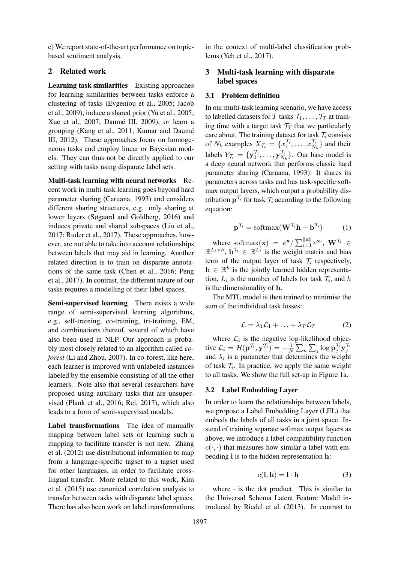e) We report state-of-the-art performance on topicbased sentiment analysis.

## 2 Related work

Learning task similarities Existing approaches for learning similarities between tasks enforce a clustering of tasks (Evgeniou et al., 2005; Jacob et al., 2009), induce a shared prior (Yu et al., 2005; Xue et al., 2007; Daumé III, 2009), or learn a grouping (Kang et al., 2011; Kumar and Daumé III, 2012). These approaches focus on homogeneous tasks and employ linear or Bayesian models. They can thus not be directly applied to our setting with tasks using disparate label sets.

Multi-task learning with neural networks Recent work in multi-task learning goes beyond hard parameter sharing (Caruana, 1993) and considers different sharing structures, e.g. only sharing at lower layers (Søgaard and Goldberg, 2016) and induces private and shared subspaces (Liu et al., 2017; Ruder et al., 2017). These approaches, however, are not able to take into account relationships between labels that may aid in learning. Another related direction is to train on disparate annotations of the same task (Chen et al., 2016; Peng et al., 2017). In contrast, the different nature of our tasks requires a modelling of their label spaces.

Semi-supervised learning There exists a wide range of semi-supervised learning algorithms, e.g., self-training, co-training, tri-training, EM, and combinations thereof, several of which have also been used in NLP. Our approach is probably most closely related to an algorithm called *coforest* (Li and Zhou, 2007). In co-forest, like here, each learner is improved with unlabeled instances labeled by the ensemble consisting of all the other learners. Note also that several researchers have proposed using auxiliary tasks that are unsupervised (Plank et al., 2016; Rei, 2017), which also leads to a form of semi-supervised models.

Label transformations The idea of manually mapping between label sets or learning such a mapping to facilitate transfer is not new. Zhang et al. (2012) use distributional information to map from a language-specific tagset to a tagset used for other languages, in order to facilitate crosslingual transfer. More related to this work, Kim et al. (2015) use canonical correlation analysis to transfer between tasks with disparate label spaces. There has also been work on label transformations

in the context of multi-label classification problems (Yeh et al., 2017).

## 3 Multi-task learning with disparate label spaces

#### 3.1 Problem definition

In our multi-task learning scenario, we have access to labelled datasets for T tasks  $\mathcal{T}_1, \ldots, \mathcal{T}_T$  at training time with a target task  $\mathcal{T}_T$  that we particularly care about. The training dataset for task  $\mathcal{T}_i$  consists of  $N_k$  examples  $X_{\mathcal{T}_i} = \{x_1^{i_1}, \ldots, x_{N_k}^{i_k}\}\$  and their labels  $Y_{\mathcal{T}_i} = \{ \mathbf{y}_1^{\prime i}, \dots, \mathbf{y}_{N_k}^{\prime i} \}$ . Our base model is a deep neural network that performs classic hard parameter sharing (Caruana, 1993): It shares its parameters across tasks and has task-specific softmax output layers, which output a probability distribution  $\mathbf{p}^{\gamma_i}$  for task  $\mathcal{T}_i$  according to the following equation:

$$
\mathbf{p}^{\mathcal{T}_i} = \text{softmax}(\mathbf{W}^{\mathcal{T}_i}\mathbf{h} + \mathbf{b}^{\mathcal{T}_i}) \tag{1}
$$

where softmax(**x**) =  $e^{x}/\sum_{i=1}^{\Vert x \Vert} e^{x_i}$ ,  $\mathbf{W}^{\mathcal{T}_i} \in$  $\mathbb{R}^{L_i \times h}$ ,  $\mathbf{b}^{\mathcal{T}_i} \in \mathbb{R}^{L_i}$  is the weight matrix and bias term of the output layer of task  $\mathcal{T}_i$  respectively,  $\mathbf{h} \in \mathbb{R}^{h}$  is the jointly learned hidden representation,  $L_i$  is the number of labels for task  $\mathcal{T}_i$ , and h is the dimensionality of h.

The MTL model is then trained to minimise the sum of the individual task losses:

$$
\mathcal{L} = \lambda_1 \mathcal{L}_1 + \ldots + \lambda_T \mathcal{L}_T \tag{2}
$$

where  $\mathcal{L}_i$  is the negative log-likelihood objective  $\mathcal{L}_i = \mathcal{H}(\mathbf{p}^{\mathcal{T}_i}, \mathbf{y}^{\mathcal{T}_i}) = -\frac{1}{N}$ tive  $\mathcal{L}_i = \mathcal{H}(\mathbf{p}^{\mathcal{T}_i}, \mathbf{y}^{\mathcal{T}_i}) = -\frac{1}{N} \sum_n \sum_j \log \mathbf{p}_j^{\mathcal{T}_i} \mathbf{y}_j^{\mathcal{T}_i}$ <br>and  $\lambda_i$  is a parameter that determines the weight of task  $\mathcal{T}_i$ . In practice, we apply the same weight to all tasks. We show the full set-up in Figure 1a.

## 3.2 Label Embedding Layer

In order to learn the relationships between labels, we propose a Label Embedding Layer (LEL) that embeds the labels of all tasks in a joint space. Instead of training separate softmax output layers as above, we introduce a label compatibility function  $c(\cdot, \cdot)$  that measures how similar a label with embedding l is to the hidden representation h:

$$
c(\mathbf{l}, \mathbf{h}) = \mathbf{l} \cdot \mathbf{h} \tag{3}
$$

where  $\cdot$  is the dot product. This is similar to the Universal Schema Latent Feature Model introduced by Riedel et al. (2013). In contrast to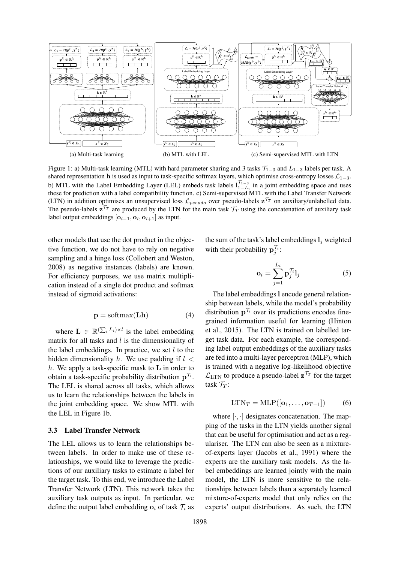

The pseudo-labels  $z^{T_T}$  are produced by the LTN for the main task  $T_T$  using the concatenation of auxiliary task Figure 1: a) Multi-task learning (MTL) with hard parameter sharing and 3 tasks  $\mathcal{T}_{1-3}$  and  $L_{1-3}$  labels per task. A shared representation h is used as input to task-specific softmax layers, which optimise cross-entropy losses  $\mathcal{L}_{1-3}$ . b) MTL with the Label Embedding Layer (LEL) embeds task labels  $l_{1-L}^{1-3}$  in a joint embedding space and uses these for prediction with a label compatibility function. c) Semi-supervised MTL with the Label Transfer Network (LTN) in addition optimises an unsupervised loss  $\mathcal{L}_{pseudo}$  over pseudo-labels  $\mathbf{z}^{T}$  on auxiliary/unlabelled data. label output embeddings  $[**o**<sub>i-1</sub>, **o**<sub>i</sub>, **o**<sub>i+1</sub>]$  as input.

other models that use the dot product in the objective function, we do not have to rely on negative sampling and a hinge loss (Collobert and Weston, 2008) as negative instances (labels) are known. For efficiency purposes, we use matrix multiplication instead of a single dot product and softmax instead of sigmoid activations:

$$
\mathbf{p} = \text{softmax}(\mathbf{L}\mathbf{h}) \tag{4}
$$

where  $\mathbf{L} \in \mathbb{R}^{(\sum_i L_i) \times l}$  is the label embedding matrix for all tasks and  $l$  is the dimensionality of the label embeddings. In practice, we set  $l$  to the hidden dimensionality h. We use padding if  $l \leq$ h. We apply a task-specific mask to  $L$  in order to obtain a task-specific probability distribution  $p^{\gamma_i}$ . The LEL is shared across all tasks, which allows us to learn the relationships between the labels in the joint embedding space. We show MTL with the LEL in Figure 1b.

#### 3.3 Label Transfer Network

The LEL allows us to learn the relationships between labels. In order to make use of these relationships, we would like to leverage the predictions of our auxiliary tasks to estimate a label for the target task. To this end, we introduce the Label Transfer Network (LTN). This network takes the auxiliary task outputs as input. In particular, we define the output label embedding  $o_i$  of task  $\mathcal{T}_i$  as

the sum of the task's label embeddings  $l_i$  weighted with their probability  $\mathbf{p}'_j$ :

$$
\mathbf{o}_{i} = \sum_{j=1}^{L_{i}} \mathbf{p}_{j}^{\mathcal{T}_{i}} \mathbf{l}_{j}
$$
 (5)

The label embeddings l encode general relationship between labels, while the model's probability distribution  $p^{\gamma_i}$  over its predictions encodes finegrained information useful for learning (Hinton et al., 2015). The LTN is trained on labelled target task data. For each example, the corresponding label output embeddings of the auxiliary tasks are fed into a multi-layer perceptron (MLP), which is trained with a negative log-likelihood objective  $\mathcal{L}_{\text{LTN}}$  to produce a pseudo-label  $\mathbf{z}^{T}$  for the target task  $\mathcal{T}_T$ :

$$
LTN_T = MLP([\mathbf{o}_1, \dots, \mathbf{o}_{T-1}])
$$
 (6)

where  $[\cdot, \cdot]$  designates concatenation. The mapping of the tasks in the LTN yields another signal that can be useful for optimisation and act as a regulariser. The LTN can also be seen as a mixtureof-experts layer (Jacobs et al., 1991) where the experts are the auxiliary task models. As the label embeddings are learned jointly with the main model, the LTN is more sensitive to the relationships between labels than a separately learned mixture-of-experts model that only relies on the experts' output distributions. As such, the LTN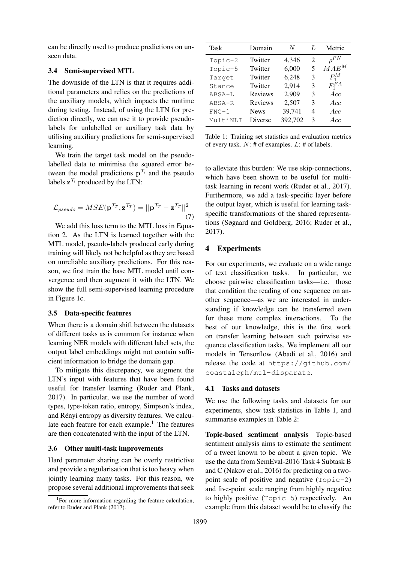can be directly used to produce predictions on unseen data.

#### 3.4 Semi-supervised MTL

The downside of the LTN is that it requires additional parameters and relies on the predictions of the auxiliary models, which impacts the runtime during testing. Instead, of using the LTN for prediction directly, we can use it to provide pseudolabels for unlabelled or auxiliary task data by utilising auxiliary predictions for semi-supervised learning.

We train the target task model on the pseudolabelled data to minimise the squared error between the model predictions  $p^{\gamma_i}$  and the pseudo labels  $z^{\gamma_i}$  produced by the LTN:

$$
\mathcal{L}_{pseudo} = MSE(\mathbf{p}^{\mathcal{T}_T}, \mathbf{z}^{\mathcal{T}_T}) = ||\mathbf{p}^{\mathcal{T}_T} - \mathbf{z}^{\mathcal{T}_T}||^2
$$
\n(7)

We add this loss term to the MTL loss in Equation 2. As the LTN is learned together with the MTL model, pseudo-labels produced early during training will likely not be helpful as they are based on unreliable auxiliary predictions. For this reason, we first train the base MTL model until convergence and then augment it with the LTN. We show the full semi-supervised learning procedure in Figure 1c.

#### 3.5 Data-specific features

When there is a domain shift between the datasets of different tasks as is common for instance when learning NER models with different label sets, the output label embeddings might not contain sufficient information to bridge the domain gap.

To mitigate this discrepancy, we augment the LTN's input with features that have been found useful for transfer learning (Ruder and Plank, 2017). In particular, we use the number of word types, type-token ratio, entropy, Simpson's index, and Rényi entropy as diversity features. We calculate each feature for each example.<sup>1</sup> The features are then concatenated with the input of the LTN.

#### 3.6 Other multi-task improvements

Hard parameter sharing can be overly restrictive and provide a regularisation that is too heavy when jointly learning many tasks. For this reason, we propose several additional improvements that seek

| Task      | Domain         | N       |   | Metric      |
|-----------|----------------|---------|---|-------------|
| $Topic-2$ | Twitter        | 4,346   | 2 | $\rho^{PN}$ |
| Topic-5   | Twitter        | 6,000   | 5 | $MAE^M$     |
| Target    | Twitter        | 6,248   | 3 | $F_1^M$     |
| Stance    | Twitter        | 2,914   | 3 | $F_1^{FA}$  |
| ABSA-L    | <b>Reviews</b> | 2,909   | 3 | Acc         |
| ABSA-R    | Reviews        | 2,507   | 3 | Acc         |
| $FNC-1$   | <b>News</b>    | 39,741  | 4 | Acc         |
| MultiNLI  | Diverse        | 392,702 | 3 | Acc         |

Table 1: Training set statistics and evaluation metrics of every task.  $N: \#$  of examples.  $L: \#$  of labels.

to alleviate this burden: We use skip-connections, which have been shown to be useful for multitask learning in recent work (Ruder et al., 2017). Furthermore, we add a task-specific layer before the output layer, which is useful for learning taskspecific transformations of the shared representations (Søgaard and Goldberg, 2016; Ruder et al., 2017).

#### 4 Experiments

For our experiments, we evaluate on a wide range of text classification tasks. In particular, we choose pairwise classification tasks—i.e. those that condition the reading of one sequence on another sequence—as we are interested in understanding if knowledge can be transferred even for these more complex interactions. To the best of our knowledge, this is the first work on transfer learning between such pairwise sequence classification tasks. We implement all our models in Tensorflow (Abadi et al., 2016) and release the code at https://github.com/ coastalcph/mtl-disparate.

#### 4.1 Tasks and datasets

We use the following tasks and datasets for our experiments, show task statistics in Table 1, and summarise examples in Table 2:

Topic-based sentiment analysis Topic-based sentiment analysis aims to estimate the sentiment of a tweet known to be about a given topic. We use the data from SemEval-2016 Task 4 Subtask B and C (Nakov et al., 2016) for predicting on a twopoint scale of positive and negative (Topic-2) and five-point scale ranging from highly negative to highly positive (Topic-5) respectively. An example from this dataset would be to classify the

<sup>&</sup>lt;sup>1</sup>For more information regarding the feature calculation, refer to Ruder and Plank (2017).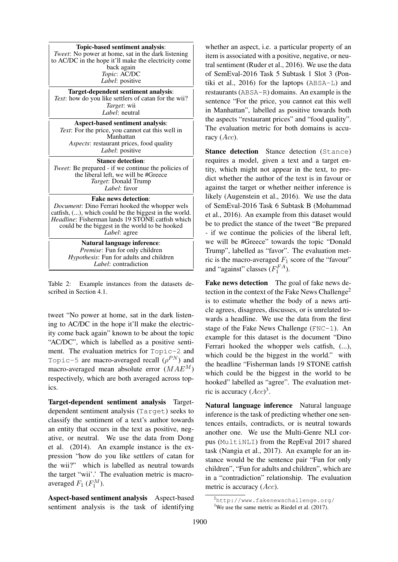Topic-based sentiment analysis: *Tweet*: No power at home, sat in the dark listening to AC/DC in the hope it'll make the electricity come back again *Topic*: AC/DC *Label*: positive

Target-dependent sentiment analysis: *Text*: how do you like settlers of catan for the wii? *Target*: wii *Label*: neutral

Aspect-based sentiment analysis: *Text*: For the price, you cannot eat this well in Manhattan *Aspects*: restaurant prices, food quality *Label*: positive

Stance detection: *Tweet*: Be prepared - if we continue the policies of the liberal left, we will be #Greece *Target*: Donald Trump *Label*: favor

#### Fake news detection:

*Document*: Dino Ferrari hooked the whopper wels catfish, (...), which could be the biggest in the world. *Headline*: Fisherman lands 19 STONE catfish which could be the biggest in the world to be hooked *Label*: agree

> Natural language inference: *Premise*: Fun for only children *Hypothesis*: Fun for adults and children *Label*: contradiction

Table 2: Example instances from the datasets described in Section 4.1.

tweet "No power at home, sat in the dark listening to AC/DC in the hope it'll make the electricity come back again" known to be about the topic "AC/DC", which is labelled as a positive sentiment. The evaluation metrics for Topic-2 and Topic-5 are macro-averaged recall  $(\rho^{PN})$  and macro-averaged mean absolute error  $(MAE^M)$ respectively, which are both averaged across topics.

Target-dependent sentiment analysis Targetdependent sentiment analysis (Target) seeks to classify the sentiment of a text's author towards an entity that occurs in the text as positive, negative, or neutral. We use the data from Dong et al. (2014). An example instance is the expression "how do you like settlers of catan for the wii?" which is labelled as neutral towards the target "wii'.' The evaluation metric is macroaveraged  $F_1$  ( $F_1^M$ ).

Aspect-based sentiment analysis Aspect-based sentiment analysis is the task of identifying

whether an aspect, i.e. a particular property of an item is associated with a positive, negative, or neutral sentiment (Ruder et al., 2016). We use the data of SemEval-2016 Task 5 Subtask 1 Slot 3 (Pontiki et al., 2016) for the laptops (ABSA-L) and restaurants (ABSA-R) domains. An example is the sentence "For the price, you cannot eat this well in Manhattan", labelled as positive towards both the aspects "restaurant prices" and "food quality". The evaluation metric for both domains is accuracy  $(Acc)$ .

Stance detection Stance detection (Stance) requires a model, given a text and a target entity, which might not appear in the text, to predict whether the author of the text is in favour or against the target or whether neither inference is likely (Augenstein et al., 2016). We use the data of SemEval-2016 Task 6 Subtask B (Mohammad et al., 2016). An example from this dataset would be to predict the stance of the tweet "Be prepared - if we continue the policies of the liberal left, we will be #Greece" towards the topic "Donald Trump", labelled as "favor". The evaluation metric is the macro-averaged  $F_1$  score of the "favour" and "against" classes  $(F_1^{FA})$ .

Fake news detection The goal of fake news detection in the context of the Fake News Challenge<sup>2</sup> is to estimate whether the body of a news article agrees, disagrees, discusses, or is unrelated towards a headline. We use the data from the first stage of the Fake News Challenge  $(FNC-1)$ . An example for this dataset is the document "Dino Ferrari hooked the whopper wels catfish,  $(...),$ which could be the biggest in the world." with the headline "Fisherman lands 19 STONE catfish which could be the biggest in the world to be hooked" labelled as "agree". The evaluation metric is accuracy  $(Acc)^3$ .

Natural language inference Natural language inference is the task of predicting whether one sentences entails, contradicts, or is neutral towards another one. We use the Multi-Genre NLI corpus (MultiNLI) from the RepEval 2017 shared task (Nangia et al., 2017). An example for an instance would be the sentence pair "Fun for only children", "Fun for adults and children", which are in a "contradiction" relationship. The evaluation metric is accuracy  $(Acc)$ .

<sup>2</sup>http://www.fakenewschallenge.org/

 $3$ We use the same metric as Riedel et al. (2017).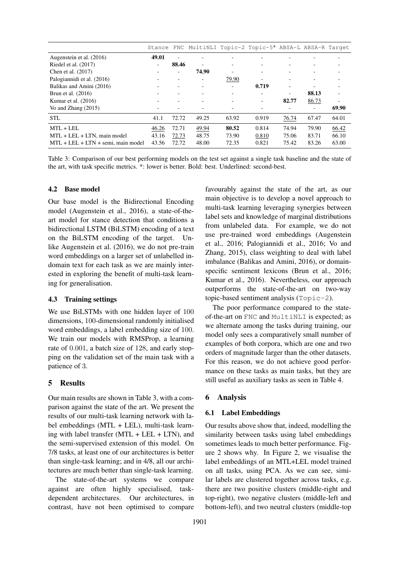|                                       | Stance |                          | FNC MultiNLI Topic-2 Topic-5* ABSA-L ABSA-R Target |                          |                          |                          |                          |       |
|---------------------------------------|--------|--------------------------|----------------------------------------------------|--------------------------|--------------------------|--------------------------|--------------------------|-------|
| Augenstein et al. (2016)              | 49.01  | ÷                        |                                                    |                          |                          |                          |                          |       |
| Riedel et al. $(2017)$                |        | 88.46                    |                                                    |                          |                          |                          |                          |       |
| Chen et al. (2017)                    |        | $\overline{\phantom{a}}$ | 74.90                                              | $\overline{\phantom{a}}$ |                          |                          |                          |       |
| Palogiannidi et al. (2016)            |        | $\overline{\phantom{0}}$ | -                                                  | 79.90                    | $\overline{\phantom{a}}$ | $\overline{\phantom{a}}$ | $\overline{\phantom{0}}$ |       |
| Balikas and Amini (2016)              |        |                          |                                                    |                          | 0.719                    | $\equiv$                 |                          |       |
| Brun et al. (2016)                    |        |                          |                                                    |                          |                          | ٠                        | 88.13                    |       |
| Kumar et al. $(2016)$                 |        |                          |                                                    |                          | $\overline{\phantom{a}}$ | 82.77                    | 86.73                    | -     |
| Vo and Zhang $(2015)$                 |        |                          |                                                    |                          |                          |                          | ۰                        | 69.90 |
| <b>STL</b>                            | 41.1   | 72.72                    | 49.25                                              | 63.92                    | 0.919                    | 76.74                    | 67.47                    | 64.01 |
| $MTL + LEL$                           | 46.26  | 72.71                    | 49.94                                              | 80.52                    | 0.814                    | 74.94                    | 79.90                    | 66.42 |
| $MTL + LEL + LTN$ , main model        | 43.16  | 72.73                    | 48.75                                              | 73.90                    | 0.810                    | 75.06                    | 83.71                    | 66.10 |
| $MTL + LEL + LTN + semi$ , main model | 43.56  | 72.72                    | 48.00                                              | 72.35                    | 0.821                    | 75.42                    | 83.26                    | 63.00 |

Table 3: Comparison of our best performing models on the test set against a single task baseline and the state of the art, with task specific metrics. \*: lower is better. Bold: best. Underlined: second-best.

#### 4.2 Base model

Our base model is the Bidirectional Encoding model (Augenstein et al., 2016), a state-of-theart model for stance detection that conditions a bidirectional LSTM (BiLSTM) encoding of a text on the BiLSTM encoding of the target. Unlike Augenstein et al. (2016), we do not pre-train word embeddings on a larger set of unlabelled indomain text for each task as we are mainly interested in exploring the benefit of multi-task learning for generalisation.

#### 4.3 Training settings

We use BiLSTMs with one hidden layer of 100 dimensions, 100-dimensional randomly initialised word embeddings, a label embedding size of 100. We train our models with RMSProp, a learning rate of 0.001, a batch size of 128, and early stopping on the validation set of the main task with a patience of 3.

## 5 Results

Our main results are shown in Table 3, with a comparison against the state of the art. We present the results of our multi-task learning network with label embeddings (MTL + LEL), multi-task learning with label transfer (MTL + LEL + LTN), and the semi-supervised extension of this model. On 7/8 tasks, at least one of our architectures is better than single-task learning; and in 4/8, all our architectures are much better than single-task learning.

The state-of-the-art systems we compare against are often highly specialised, taskdependent architectures. Our architectures, in contrast, have not been optimised to compare

favourably against the state of the art, as our main objective is to develop a novel approach to multi-task learning leveraging synergies between label sets and knowledge of marginal distributions from unlabeled data. For example, we do not use pre-trained word embeddings (Augenstein et al., 2016; Palogiannidi et al., 2016; Vo and Zhang, 2015), class weighting to deal with label imbalance (Balikas and Amini, 2016), or domainspecific sentiment lexicons (Brun et al., 2016; Kumar et al., 2016). Nevertheless, our approach outperforms the state-of-the-art on two-way topic-based sentiment analysis (Topic-2).

The poor performance compared to the stateof-the-art on FNC and MultiNLI is expected; as we alternate among the tasks during training, our model only sees a comparatively small number of examples of both corpora, which are one and two orders of magnitude larger than the other datasets. For this reason, we do not achieve good performance on these tasks as main tasks, but they are still useful as auxiliary tasks as seen in Table 4.

### 6 Analysis

## 6.1 Label Embeddings

Our results above show that, indeed, modelling the similarity between tasks using label embeddings sometimes leads to much better performance. Figure 2 shows why. In Figure 2, we visualise the label embeddings of an MTL+LEL model trained on all tasks, using PCA. As we can see, similar labels are clustered together across tasks, e.g. there are two positive clusters (middle-right and top-right), two negative clusters (middle-left and bottom-left), and two neutral clusters (middle-top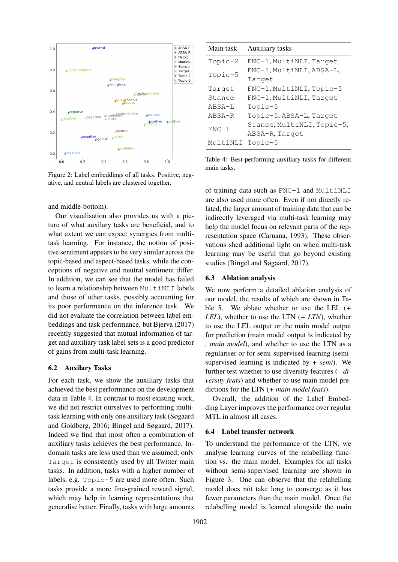

Figure 2: Label embeddings of all tasks. Positive, negative, and neutral labels are clustered together.

#### and middle-bottom).

Our visualisation also provides us with a picture of what auxilary tasks are beneficial, and to what extent we can expect synergies from multitask learning. For instance, the notion of positive sentiment appears to be very similar across the topic-based and aspect-based tasks, while the conceptions of negative and neutral sentiment differ. In addition, we can see that the model has failed to learn a relationship between MultiNLI labels and those of other tasks, possibly accounting for its poor performance on the inference task. We did not evaluate the correlation between label embeddings and task performance, but Bjerva (2017) recently suggested that mutual information of target and auxiliary task label sets is a good predictor of gains from multi-task learning.

#### 6.2 Auxilary Tasks

For each task, we show the auxiliary tasks that achieved the best performance on the development data in Table 4. In contrast to most existing work, we did not restrict ourselves to performing multitask learning with only one auxiliary task (Søgaard and Goldberg, 2016; Bingel and Søgaard, 2017). Indeed we find that most often a combination of auxiliary tasks achieves the best performance. Indomain tasks are less used than we assumed; only Target is consistently used by all Twitter main tasks. In addition, tasks with a higher number of labels, e.g. Topic-5 are used more often. Such tasks provide a more fine-grained reward signal, which may help in learning representations that generalise better. Finally, tasks with large amounts

Main task Auxiliary tasks

|         | $Topic-2$                  | FNC-1, MultiNLI, Target  |
|---------|----------------------------|--------------------------|
| Topic-5 | FNC-1, MultiNLI, ABSA-L,   |                          |
|         | Target                     |                          |
|         | Target                     | FNC-1, MultiNLI, Topic-5 |
|         | Stance                     | FNC-1, MultiNLI, Target  |
|         | ABSA-L                     | $Topic-5$                |
|         | $ARSA-R$                   | Topic-5, ABSA-L, Target  |
| $FNC-1$ | Stance, MultiNLI, Topic-5, |                          |
|         | ABSA-R, Target             |                          |
|         | MultiNLI                   | Topic-5                  |
|         |                            |                          |

Table 4: Best-performing auxiliary tasks for different main tasks.

of training data such as FNC-1 and MultiNLI are also used more often. Even if not directly related, the larger amount of training data that can be indirectly leveraged via multi-task learning may help the model focus on relevant parts of the representation space (Caruana, 1993). These observations shed additional light on when multi-task learning may be useful that go beyond existing studies (Bingel and Søgaard, 2017).

#### 6.3 Ablation analysis

We now perform a detailed ablation analysis of our model, the results of which are shown in Table 5. We ablate whether to use the LEL (*+ LEL*), whether to use the LTN (*+ LTN*), whether to use the LEL output or the main model output for prediction (main model output is indicated by *, main model*), and whether to use the LTN as a regulariser or for semi-supervised learning (semisupervised learning is indicated by *+ semi*). We further test whether to use diversity features (*– diversity feats*) and whether to use main model predictions for the LTN (*+ main model feats*).

Overall, the addition of the Label Embedding Layer improves the performance over regular MTL in almost all cases.

#### 6.4 Label transfer network

To understand the performance of the LTN, we analyse learning curves of the relabelling function vs. the main model. Examples for all tasks without semi-supervised learning are shown in Figure 3. One can observe that the relabelling model does not take long to converge as it has fewer parameters than the main model. Once the relabelling model is learned alongside the main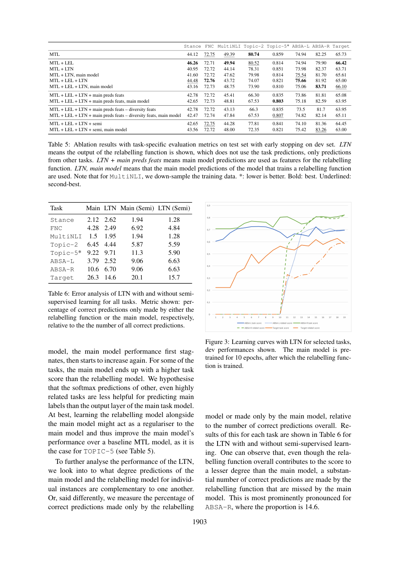|                                                                           |       |       | Stance FNC MultiNLI Topic-2 Topic-5* ABSA-L ABSA-R Target |       |       |       |       |       |
|---------------------------------------------------------------------------|-------|-------|-----------------------------------------------------------|-------|-------|-------|-------|-------|
| <b>MTL</b>                                                                | 44.12 | 72.75 | 49.39                                                     | 80.74 | 0.859 | 74.94 | 82.25 | 65.73 |
| $MTL + LEL$                                                               | 46.26 | 72.71 | 49.94                                                     | 80.52 | 0.814 | 74.94 | 79.90 | 66.42 |
| $MTL + LTN$                                                               | 40.95 | 72.72 | 44.14                                                     | 78.31 | 0.851 | 73.98 | 82.37 | 63.71 |
| MTL + LTN, main model                                                     | 41.60 | 72.72 | 47.62                                                     | 79.98 | 0.814 | 75.54 | 81.70 | 65.61 |
| $MTL + LEL + LTN$                                                         | 44.48 | 72.76 | 43.72                                                     | 74.07 | 0.821 | 75.66 | 81.92 | 65.00 |
| MTL + LEL + LTN, main model                                               | 43.16 | 72.73 | 48.75                                                     | 73.90 | 0.810 | 75.06 | 83.71 | 66.10 |
| $MTL + LEL + LTN + \text{main preds}$ feats                               | 42.78 | 72.72 | 45.41                                                     | 66.30 | 0.835 | 73.86 | 81.81 | 65.08 |
| $MTL + LEL + LTN + \text{main preds}$ feats, main model                   |       | 72.73 | 48.81                                                     | 67.53 | 0.803 | 75.18 | 82.59 | 63.95 |
| $MTL + LEL + LTN + \text{main preds}$ feats – diversity feats             | 42.78 | 72.72 | 43.13                                                     | 66.3  | 0.835 | 73.5  | 81.7  | 63.95 |
| $MTL + LEL + LTN + \text{main preds}$ feats – diversity feats, main model | 42.47 | 72.74 | 47.84                                                     | 67.53 | 0.807 | 74.82 | 82.14 | 65.11 |
| $MTL + LEL + LTN +$ semi                                                  | 42.65 | 72.75 | 44.28                                                     | 77.81 | 0.841 | 74.10 | 81.36 | 64.45 |
| $MTL + LEL + LTN +$ semi, main model                                      | 43.56 | 72.72 | 48.00                                                     | 72.35 | 0.821 | 75.42 | 83.26 | 63.00 |

Table 5: Ablation results with task-specific evaluation metrics on test set with early stopping on dev set. *LTN* means the output of the relabelling function is shown, which does not use the task predictions, only predictions from other tasks. *LTN + main preds feats* means main model predictions are used as features for the relabelling function. *LTN, main model* means that the main model predictions of the model that trains a relabelling function are used. Note that for MultiNLI, we down-sample the training data. \*: lower is better. Bold: best. Underlined: second-best.

| Task       |           |      | Main LTN Main (Semi) LTN (Semi) |      |
|------------|-----------|------|---------------------------------|------|
| Stance     | 2.12 2.62 |      | 1.94                            | 1.28 |
| <b>FNC</b> | 4.28      | 2.49 | 6.92                            | 4.84 |
| MultiNLI   | 1.5       | 1.95 | 1.94                            | 1.28 |
| $Topic-2$  | 6.45 4.44 |      | 5.87                            | 5.59 |
| Topic-5*   | 9.22 9.71 |      | 11.3                            | 5.90 |
| ABSA-L     | 3.79      | 2.52 | 9.06                            | 6.63 |
| ABSA-R     | 10.6      | 6.70 | 9.06                            | 6.63 |
| Target     | 26.3      | 14.6 | 20.1                            | 15.7 |

Table 6: Error analysis of LTN with and without semisupervised learning for all tasks. Metric shown: percentage of correct predictions only made by either the relabelling function or the main model, respectively, relative to the the number of all correct predictions.

model, the main model performance first stagnates, then starts to increase again. For some of the tasks, the main model ends up with a higher task score than the relabelling model. We hypothesise that the softmax predictions of other, even highly related tasks are less helpful for predicting main labels than the output layer of the main task model. At best, learning the relabelling model alongside the main model might act as a regulariser to the main model and thus improve the main model's performance over a baseline MTL model, as it is the case for TOPIC-5 (see Table 5).

To further analyse the performance of the LTN, we look into to what degree predictions of the main model and the relabelling model for individual instances are complementary to one another. Or, said differently, we measure the percentage of correct predictions made only by the relabelling



Figure 3: Learning curves with LTN for selected tasks, dev performances shown. The main model is pretrained for 10 epochs, after which the relabelling function is trained.

model or made only by the main model, relative to the number of correct predictions overall. Results of this for each task are shown in Table 6 for the LTN with and without semi-supervised learning. One can observe that, even though the relabelling function overall contributes to the score to a lesser degree than the main model, a substantial number of correct predictions are made by the relabelling function that are missed by the main model. This is most prominently pronounced for ABSA-R, where the proportion is 14.6.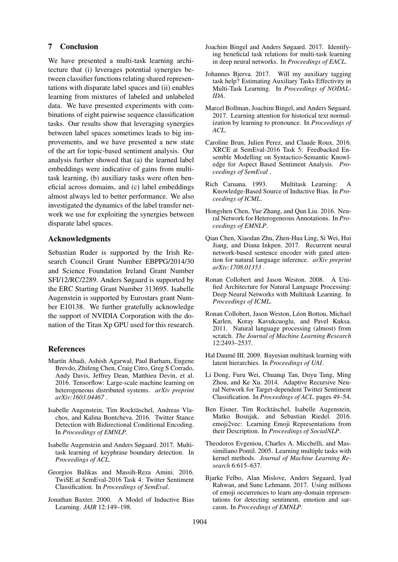#### 7 Conclusion

We have presented a multi-task learning architecture that (i) leverages potential synergies between classifier functions relating shared representations with disparate label spaces and (ii) enables learning from mixtures of labeled and unlabeled data. We have presented experiments with combinations of eight pairwise sequence classification tasks. Our results show that leveraging synergies between label spaces sometimes leads to big improvements, and we have presented a new state of the art for topic-based sentiment analysis. Our analysis further showed that (a) the learned label embeddings were indicative of gains from multitask learning, (b) auxiliary tasks were often beneficial across domains, and (c) label embeddings almost always led to better performance. We also investigated the dynamics of the label transfer network we use for exploiting the synergies between disparate label spaces.

#### Acknowledgments

Sebastian Ruder is supported by the Irish Research Council Grant Number EBPPG/2014/30 and Science Foundation Ireland Grant Number SFI/12/RC/2289. Anders Søgaard is supported by the ERC Starting Grant Number 313695. Isabelle Augenstein is supported by Eurostars grant Number E10138. We further gratefully acknowledge the support of NVIDIA Corporation with the donation of the Titan Xp GPU used for this research.

## References

- Martín Abadi, Ashish Agarwal, Paul Barham, Eugene Brevdo, Zhifeng Chen, Craig Citro, Greg S Corrado, Andy Davis, Jeffrey Dean, Matthieu Devin, et al. 2016. Tensorflow: Large-scale machine learning on heterogeneous distributed systems. *arXiv preprint arXiv:1603.04467* .
- Isabelle Augenstein, Tim Rocktäschel, Andreas Vlachos, and Kalina Bontcheva. 2016. Twitter Stance Detection with Bidirectional Conditional Encoding. In *Proceedings of EMNLP*.
- Isabelle Augenstein and Anders Søgaard. 2017. Multitask learning of keyphrase boundary detection. In *Proceedings of ACL*.
- Georgios Balikas and Massih-Reza Amini. 2016. TwiSE at SemEval-2016 Task 4: Twitter Sentiment Classification. In *Proceedings of SemEval*.
- Jonathan Baxter. 2000. A Model of Inductive Bias Learning. *JAIR* 12:149–198.
- Joachim Bingel and Anders Søgaard. 2017. Identifying beneficial task relations for multi-task learning in deep neural networks. In *Proceedings of EACL*.
- Johannes Bjerva. 2017. Will my auxiliary tagging task help? Estimating Auxiliary Tasks Effectivity in Multi-Task Learning. In *Proceedings of NODAL-IDA*.
- Marcel Bollman, Joachim Bingel, and Anders Søgaard. 2017. Learning attention for historical text normalization by learning to pronounce. In *Proceedings of ACL*.
- Caroline Brun, Julien Perez, and Claude Roux. 2016. XRCE at SemEval-2016 Task 5: Feedbacked Ensemble Modelling on Syntactico-Semantic Knowledge for Aspect Based Sentiment Analysis. *Proceedings of SemEval* .
- Rich Caruana. 1993. Multitask Learning: A Knowledge-Based Source of Inductive Bias. In *Proceedings of ICML*.
- Hongshen Chen, Yue Zhang, and Qun Liu. 2016. Neural Network for Heterogeneous Annotations. In *Proceedings of EMNLP*.
- Qian Chen, Xiaodan Zhu, Zhen-Hua Ling, Si Wei, Hui Jiang, and Diana Inkpen. 2017. Recurrent neural network-based sentence encoder with gated attention for natural language inference. *arXiv preprint arXiv:1708.01353* .
- Ronan Collobert and Jason Weston. 2008. A Unified Architecture for Natural Language Processing: Deep Neural Networks with Multitask Learning. In *Proceedings of ICML*.
- Ronan Collobert, Jason Weston, Léon Bottou, Michael Karlen, Koray Kavukcuoglu, and Pavel Kuksa. 2011. Natural language processing (almost) from scratch. *The Journal of Machine Learning Research* 12:2493–2537.
- Hal Daumé III. 2009. Bayesian multitask learning with latent hierarchies. In *Proceedings of UAI*.
- Li Dong, Furu Wei, Chuanqi Tan, Duyu Tang, Ming Zhou, and Ke Xu. 2014. Adaptive Recursive Neural Network for Target-dependent Twitter Sentiment Classification. In *Proceedings of ACL*. pages 49–54.
- Ben Eisner, Tim Rocktäschel, Isabelle Augenstein, Matko Bosnjak, and Sebastian Riedel. 2016. emoji2vec: Learning Emoji Representations from their Description. In *Proceedings of SocialNLP*.
- Theodoros Evgeniou, Charles A. Micchelli, and Massimiliano Pontil. 2005. Learning multiple tasks with kernel methods. *Journal of Machine Learning Research* 6:615–637.
- Bjarke Felbo, Alan Mislove, Anders Søgaard, Iyad Rahwan, and Sune Lehmann. 2017. Using millions of emoji occurrences to learn any-domain representations for detecting sentiment, emotion and sarcasm. In *Proceedings of EMNLP*.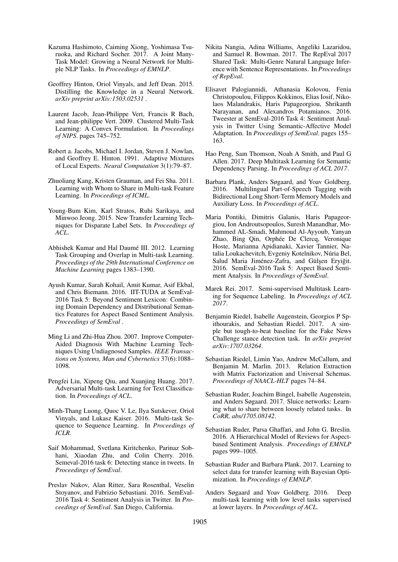- Kazuma Hashimoto, Caiming Xiong, Yoshimasa Tsuruoka, and Richard Socher. 2017. A Joint Many-Task Model: Growing a Neural Network for Multiple NLP Tasks. In *Proceedings of EMNLP*.
- Geoffrey Hinton, Oriol Vinyals, and Jeff Dean. 2015. Distilling the Knowledge in a Neural Network. *arXiv preprint arXiv:1503.02531* .
- Laurent Jacob, Jean-Philippe Vert, Francis R Bach, and Jean-philippe Vert. 2009. Clustered Multi-Task Learning: A Convex Formulation. In *Proceedings of NIPS*. pages 745–752.
- Robert a. Jacobs, Michael I. Jordan, Steven J. Nowlan, and Geoffrey E. Hinton. 1991. Adaptive Mixtures of Local Experts. *Neural Computation* 3(1):79–87.
- Zhuoliang Kang, Kristen Grauman, and Fei Sha. 2011. Learning with Whom to Share in Multi-task Feature Learning. In *Proceedings of ICML*.
- Young-Bum Kim, Karl Stratos, Ruhi Sarikaya, and Minwoo Jeong. 2015. New Transfer Learning Techniques for Disparate Label Sets. In *Proceedings of ACL*.
- Abhishek Kumar and Hal Daumé III. 2012. Learning Task Grouping and Overlap in Multi-task Learning. *Proceedings of the 29th International Conference on Machine Learning* pages 1383–1390.
- Ayush Kumar, Sarah Kohail, Amit Kumar, Asif Ekbal, and Chris Biemann. 2016. IIT-TUDA at SemEval-2016 Task 5: Beyond Sentiment Lexicon: Combining Domain Dependency and Distributional Semantics Features for Aspect Based Sentiment Analysis. *Proceedings of SemEval* .
- Ming Li and Zhi-Hua Zhou. 2007. Improve Computer-Aided Diagnosis With Machine Learning Techniques Using Undiagnosed Samples. *IEEE Transactions on Systems, Man and Cybernetics* 37(6):1088– 1098.
- Pengfei Liu, Xipeng Qiu, and Xuanjing Huang. 2017. Adversarial Multi-task Learning for Text Classification. In *Proceedings of ACL*.
- Minh-Thang Luong, Quoc V. Le, Ilya Sutskever, Oriol Vinyals, and Lukasz Kaiser. 2016. Multi-task Sequence to Sequence Learning. In *Proceedings of ICLR*.
- Saif Mohammad, Svetlana Kiritchenko, Parinaz Sobhani, Xiaodan Zhu, and Colin Cherry. 2016. Semeval-2016 task 6: Detecting stance in tweets. In *Proceedings of SemEval*.
- Preslav Nakov, Alan Ritter, Sara Rosenthal, Veselin Stoyanov, and Fabrizio Sebastiani. 2016. SemEval-2016 Task 4: Sentiment Analysis in Twitter. In *Proceedings of SemEval*. San Diego, California.
- Nikita Nangia, Adina Williams, Angeliki Lazaridou, and Samuel R. Bowman. 2017. The RepEval 2017 Shared Task: Multi-Genre Natural Language Inference with Sentence Representations. In *Proceedings of RepEval*.
- Elisavet Palogiannidi, Athanasia Kolovou, Fenia Christopoulou, Filippos Kokkinos, Elias Iosif, Nikolaos Malandrakis, Haris Papageorgiou, Shrikanth Narayanan, and Alexandros Potamianos. 2016. Tweester at SemEval-2016 Task 4: Sentiment Analysis in Twitter Using Semantic-Affective Model Adaptation. In *Proceedings of SemEval*. pages 155– 163.
- Hao Peng, Sam Thomson, Noah A Smith, and Paul G Allen. 2017. Deep Multitask Learning for Semantic Dependency Parsing. In *Proceedings of ACL 2017*.
- Barbara Plank, Anders Søgaard, and Yoav Goldberg. 2016. Multilingual Part-of-Speech Tagging with Bidirectional Long Short-Term Memory Models and Auxiliary Loss. In *Proceedings of ACL*.
- Maria Pontiki, Dimitris Galanis, Haris Papageorgiou, Ion Androutsopoulos, Suresh Manandhar, Mohammed AL-Smadi, Mahmoud Al-Ayyoub, Yanyan Zhao, Bing Qin, Orphée De Clercq, Veronique Hoste, Marianna Apidianaki, Xavier Tannier, Natalia Loukachevitch, Evgeniy Kotelnikov, Núria Bel, Salud Maria Jiménez-Zafra, and Gülşen Eryiğit. 2016. SemEval-2016 Task 5: Aspect Based Sentiment Analysis. In *Proceedings of SemEval*.
- Marek Rei. 2017. Semi-supervised Multitask Learning for Sequence Labeling. In *Proceedings of ACL 2017*.
- Benjamin Riedel, Isabelle Augenstein, Georgios P Spithourakis, and Sebastian Riedel. 2017. A simple but tough-to-beat baseline for the Fake News Challenge stance detection task. In *arXiv preprint arXiv:1707.03264*.
- Sebastian Riedel, Limin Yao, Andrew McCallum, and Benjamin M. Marlin. 2013. Relation Extraction with Matrix Factorization and Universal Schemas. *Proceedings of NAACL-HLT* pages 74–84.
- Sebastian Ruder, Joachim Bingel, Isabelle Augenstein, and Anders Søgaard. 2017. Sluice networks: Learning what to share between loosely related tasks. In *CoRR, abs/1705.08142*.
- Sebastian Ruder, Parsa Ghaffari, and John G. Breslin. 2016. A Hierarchical Model of Reviews for Aspectbased Sentiment Analysis. *Proceedings of EMNLP* pages 999–1005.
- Sebastian Ruder and Barbara Plank. 2017. Learning to select data for transfer learning with Bayesian Optimization. In *Proceedings of EMNLP*.
- Anders Søgaard and Yoav Goldberg. 2016. Deep multi-task learning with low level tasks supervised at lower layers. In *Proceedings of ACL*.